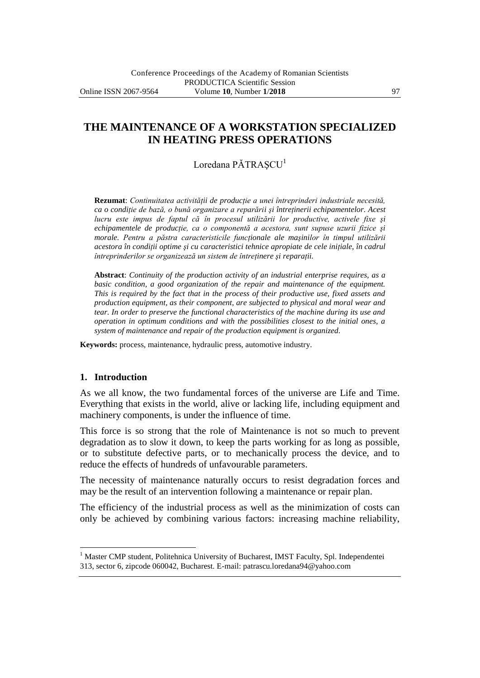# **THE MAINTENANCE OF A WORKSTATION SPECIALIZED IN HEATING PRESS OPERATIONS**

## Loredana PĂTRASCU<sup>1</sup>

**Rezumat**: *Continuitatea activităţii de producţie a unei întreprinderi industriale necesită, ca o condiţie de bază, o bună organizare a reparării şi întreţinerii echipamentelor. Acest lucru este impus de faptul că în procesul utilizării lor productive, activele fixe şi*  echipamentele de productie, ca o componentă a acestora, sunt supuse uzurii fizice și *morale. Pentru a păstra caracteristicile funcţionale ale maşinilor în timpul utilizării acestora în condiţii optime şi cu caracteristici tehnice apropiate de cele iniţiale, în cadrul întreprinderilor se organizează un sistem de întreţinere şi reparaţii.*

**Abstract**: *Continuity of the production activity of an industrial enterprise requires, as a basic condition, a good organization of the repair and maintenance of the equipment. This is required by the fact that in the process of their productive use, fixed assets and production equipment, as their component, are subjected to physical and moral wear and tear. In order to preserve the functional characteristics of the machine during its use and operation in optimum conditions and with the possibilities closest to the initial ones, a system of maintenance and repair of the production equipment is organized.*

**Keywords:** process, maintenance, hydraulic press, automotive industry.

#### **1. Introduction**

 $\overline{a}$ 

As we all know, the two fundamental forces of the universe are Life and Time. Everything that exists in the world, alive or lacking life, including equipment and machinery components, is under the influence of time.

This force is so strong that the role of Maintenance is not so much to prevent degradation as to slow it down, to keep the parts working for as long as possible, or to substitute defective parts, or to mechanically process the device, and to reduce the effects of hundreds of unfavourable parameters.

The necessity of maintenance naturally occurs to resist degradation forces and may be the result of an intervention following a maintenance or repair plan.

The efficiency of the industrial process as well as the minimization of costs can only be achieved by combining various factors: increasing machine reliability,

<sup>&</sup>lt;sup>1</sup> Master CMP student, Politehnica University of Bucharest, IMST Faculty, Spl. Independentei 313, sector 6, zipcode 060042, Bucharest. E-mail: patrascu.loredana94@yahoo.com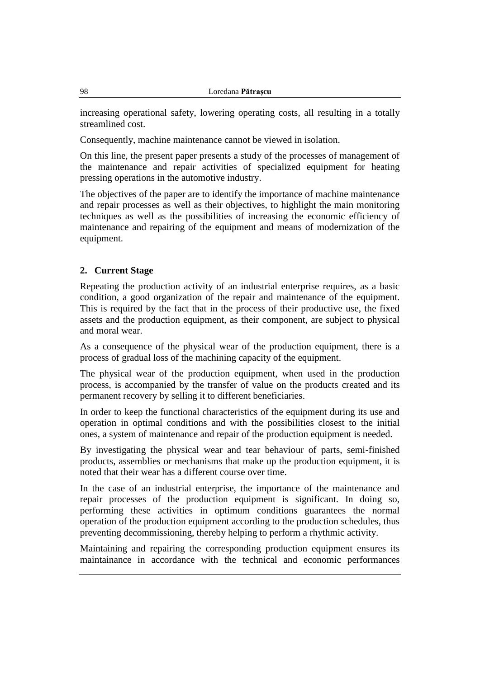increasing operational safety, lowering operating costs, all resulting in a totally streamlined cost.

Consequently, machine maintenance cannot be viewed in isolation.

On this line, the present paper presents a study of the processes of management of the maintenance and repair activities of specialized equipment for heating pressing operations in the automotive industry.

The objectives of the paper are to identify the importance of machine maintenance and repair processes as well as their objectives, to highlight the main monitoring techniques as well as the possibilities of increasing the economic efficiency of maintenance and repairing of the equipment and means of modernization of the equipment.

## **2. Current Stage**

Repeating the production activity of an industrial enterprise requires, as a basic condition, a good organization of the repair and maintenance of the equipment. This is required by the fact that in the process of their productive use, the fixed assets and the production equipment, as their component, are subject to physical and moral wear.

As a consequence of the physical wear of the production equipment, there is a process of gradual loss of the machining capacity of the equipment.

The physical wear of the production equipment, when used in the production process, is accompanied by the transfer of value on the products created and its permanent recovery by selling it to different beneficiaries.

In order to keep the functional characteristics of the equipment during its use and operation in optimal conditions and with the possibilities closest to the initial ones, a system of maintenance and repair of the production equipment is needed.

By investigating the physical wear and tear behaviour of parts, semi-finished products, assemblies or mechanisms that make up the production equipment, it is noted that their wear has a different course over time.

In the case of an industrial enterprise, the importance of the maintenance and repair processes of the production equipment is significant. In doing so, performing these activities in optimum conditions guarantees the normal operation of the production equipment according to the production schedules, thus preventing decommissioning, thereby helping to perform a rhythmic activity.

Maintaining and repairing the corresponding production equipment ensures its maintainance in accordance with the technical and economic performances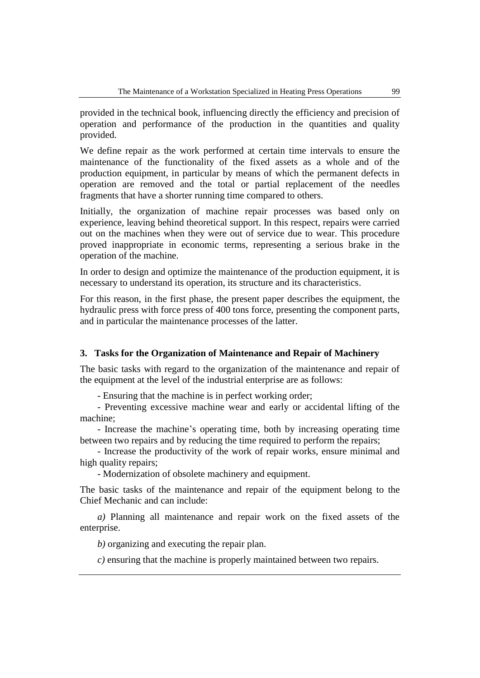provided in the technical book, influencing directly the efficiency and precision of operation and performance of the production in the quantities and quality provided.

We define repair as the work performed at certain time intervals to ensure the maintenance of the functionality of the fixed assets as a whole and of the production equipment, in particular by means of which the permanent defects in operation are removed and the total or partial replacement of the needles fragments that have a shorter running time compared to others.

Initially, the organization of machine repair processes was based only on experience, leaving behind theoretical support. In this respect, repairs were carried out on the machines when they were out of service due to wear. This procedure proved inappropriate in economic terms, representing a serious brake in the operation of the machine.

In order to design and optimize the maintenance of the production equipment, it is necessary to understand its operation, its structure and its characteristics.

For this reason, in the first phase, the present paper describes the equipment, the hydraulic press with force press of 400 tons force, presenting the component parts, and in particular the maintenance processes of the latter.

## **3. Tasks for the Organization of Maintenance and Repair of Machinery**

The basic tasks with regard to the organization of the maintenance and repair of the equipment at the level of the industrial enterprise are as follows:

- Ensuring that the machine is in perfect working order;

- Preventing excessive machine wear and early or accidental lifting of the machine;

- Increase the machine's operating time, both by increasing operating time between two repairs and by reducing the time required to perform the repairs;

- Increase the productivity of the work of repair works, ensure minimal and high quality repairs;

- Modernization of obsolete machinery and equipment.

The basic tasks of the maintenance and repair of the equipment belong to the Chief Mechanic and can include:

*a)* Planning all maintenance and repair work on the fixed assets of the enterprise.

*b)* organizing and executing the repair plan.

*c)* ensuring that the machine is properly maintained between two repairs.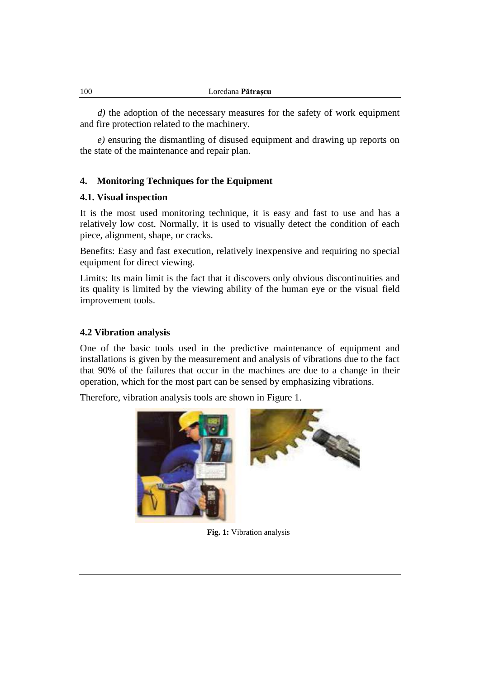*d)* the adoption of the necessary measures for the safety of work equipment and fire protection related to the machinery.

*e)* ensuring the dismantling of disused equipment and drawing up reports on the state of the maintenance and repair plan.

## **4. Monitoring Techniques for the Equipment**

#### **4.1. Visual inspection**

It is the most used monitoring technique, it is easy and fast to use and has a relatively low cost. Normally, it is used to visually detect the condition of each piece, alignment, shape, or cracks.

Benefits: Easy and fast execution, relatively inexpensive and requiring no special equipment for direct viewing.

Limits: Its main limit is the fact that it discovers only obvious discontinuities and its quality is limited by the viewing ability of the human eye or the visual field improvement tools.

#### **4.2 Vibration analysis**

One of the basic tools used in the predictive maintenance of equipment and installations is given by the measurement and analysis of vibrations due to the fact that 90% of the failures that occur in the machines are due to a change in their operation, which for the most part can be sensed by emphasizing vibrations.

Therefore, vibration analysis tools are shown in Figure 1.



**Fig. 1:** Vibration analysis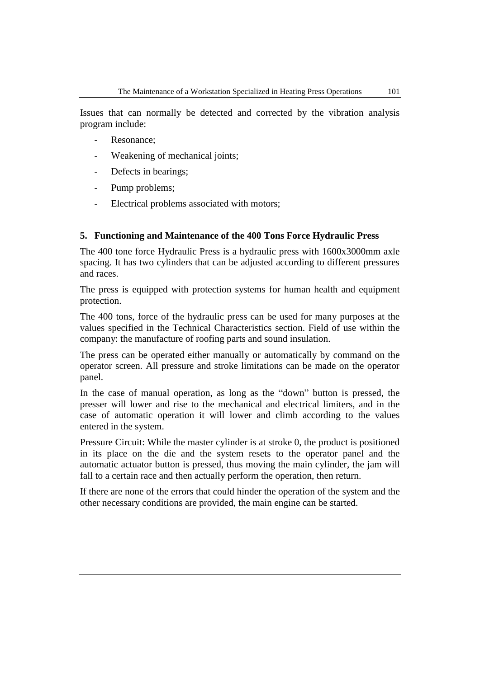Issues that can normally be detected and corrected by the vibration analysis program include:

- Resonance;
- Weakening of mechanical joints;
- Defects in bearings;
- Pump problems;
- Electrical problems associated with motors;

#### **5. Functioning and Maintenance of the 400 Tons Force Hydraulic Press**

The 400 tone force Hydraulic Press is a hydraulic press with 1600x3000mm axle spacing. It has two cylinders that can be adjusted according to different pressures and races.

The press is equipped with protection systems for human health and equipment protection.

The 400 tons, force of the hydraulic press can be used for many purposes at the values specified in the Technical Characteristics section. Field of use within the company: the manufacture of roofing parts and sound insulation.

The press can be operated either manually or automatically by command on the operator screen. All pressure and stroke limitations can be made on the operator panel.

In the case of manual operation, as long as the "down" button is pressed, the presser will lower and rise to the mechanical and electrical limiters, and in the case of automatic operation it will lower and climb according to the values entered in the system.

Pressure Circuit: While the master cylinder is at stroke 0, the product is positioned in its place on the die and the system resets to the operator panel and the automatic actuator button is pressed, thus moving the main cylinder, the jam will fall to a certain race and then actually perform the operation, then return.

If there are none of the errors that could hinder the operation of the system and the other necessary conditions are provided, the main engine can be started.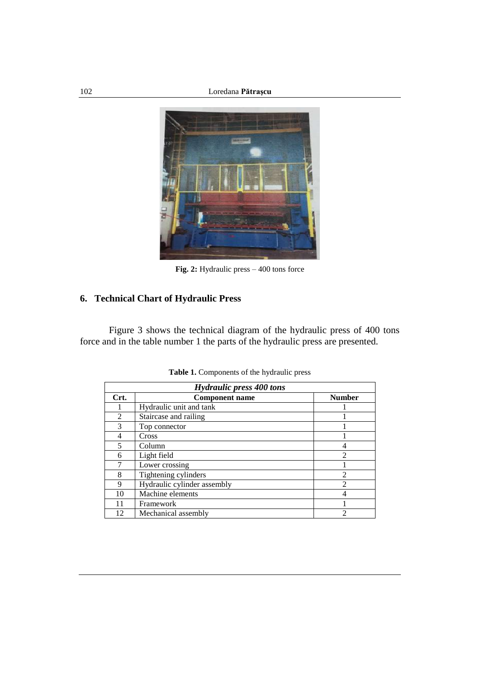

**Fig. 2:** Hydraulic press – 400 tons force

# **6. Technical Chart of Hydraulic Press**

Figure 3 shows the technical diagram of the hydraulic press of 400 tons force and in the table number 1 the parts of the hydraulic press are presented.

| <b>Hydraulic press 400 tons</b> |                             |                |  |  |  |  |  |  |  |
|---------------------------------|-----------------------------|----------------|--|--|--|--|--|--|--|
| Crt.                            | <b>Component name</b>       | <b>Number</b>  |  |  |  |  |  |  |  |
|                                 | Hydraulic unit and tank     |                |  |  |  |  |  |  |  |
| $\mathfrak{D}$                  | Staircase and railing       |                |  |  |  |  |  |  |  |
| 3                               | Top connector               |                |  |  |  |  |  |  |  |
| 4                               | Cross                       |                |  |  |  |  |  |  |  |
|                                 | Column                      | 4              |  |  |  |  |  |  |  |
| 6                               | Light field                 | $\mathfrak{D}$ |  |  |  |  |  |  |  |
|                                 | Lower crossing              |                |  |  |  |  |  |  |  |
| 8                               | Tightening cylinders        | $\mathfrak{D}$ |  |  |  |  |  |  |  |
| 9                               | Hydraulic cylinder assembly | $\mathfrak{D}$ |  |  |  |  |  |  |  |
| 10                              | Machine elements            | 4              |  |  |  |  |  |  |  |
| 11                              | Framework                   |                |  |  |  |  |  |  |  |
| 12                              | Mechanical assembly         | 2              |  |  |  |  |  |  |  |

**Table 1.** Components of the hydraulic press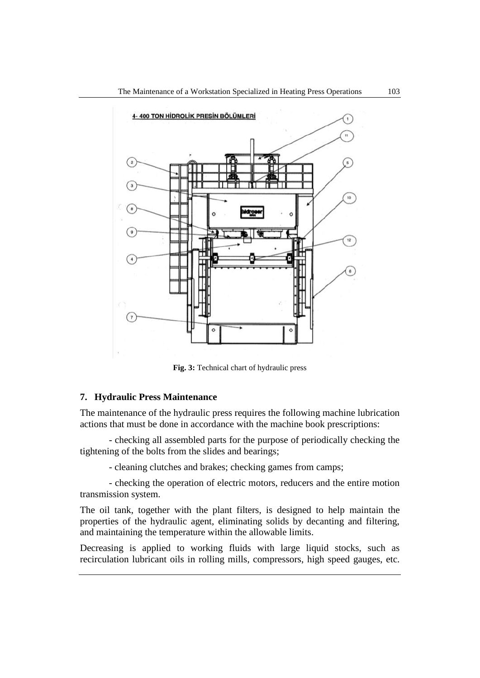

**Fig. 3:** Technical chart of hydraulic press

#### **7. Hydraulic Press Maintenance**

The maintenance of the hydraulic press requires the following machine lubrication actions that must be done in accordance with the machine book prescriptions:

- checking all assembled parts for the purpose of periodically checking the tightening of the bolts from the slides and bearings;

- cleaning clutches and brakes; checking games from camps;

- checking the operation of electric motors, reducers and the entire motion transmission system.

The oil tank, together with the plant filters, is designed to help maintain the properties of the hydraulic agent, eliminating solids by decanting and filtering, and maintaining the temperature within the allowable limits.

Decreasing is applied to working fluids with large liquid stocks, such as recirculation lubricant oils in rolling mills, compressors, high speed gauges, etc.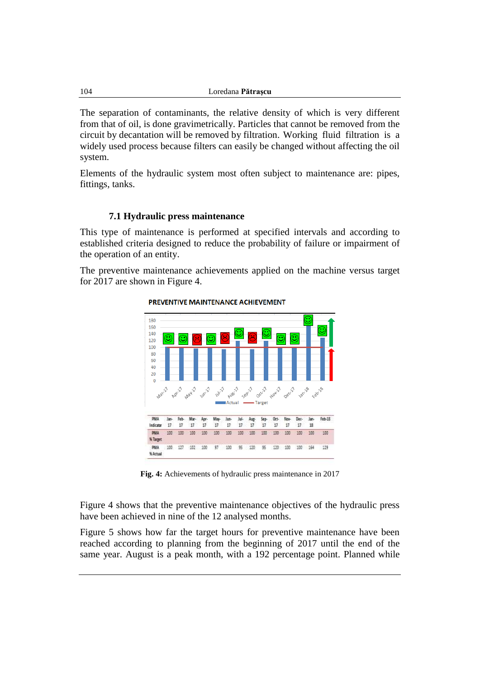The separation of contaminants, the relative density of which is very different from that of oil, is done gravimetrically. Particles that cannot be removed from the circuit by decantation will be removed by filtration. Working fluid filtration is a widely used process because filters can easily be changed without affecting the oil system.

Elements of the hydraulic system most often subject to maintenance are: pipes, fittings, tanks.

#### **7.1 Hydraulic press maintenance**

This type of maintenance is performed at specified intervals and according to established criteria designed to reduce the probability of failure or impairment of the operation of an entity.

The preventive maintenance achievements applied on the machine versus target for 2017 are shown in Figure 4.



PREVENTIVE MAINTENANCE ACHIEVEMENT

**Fig. 4:** Achievements of hydraulic press maintenance in 2017

Figure 4 shows that the preventive maintenance objectives of the hydraulic press have been achieved in nine of the 12 analysed months.

Figure 5 shows how far the target hours for preventive maintenance have been reached according to planning from the beginning of 2017 until the end of the same year. August is a peak month, with a 192 percentage point. Planned while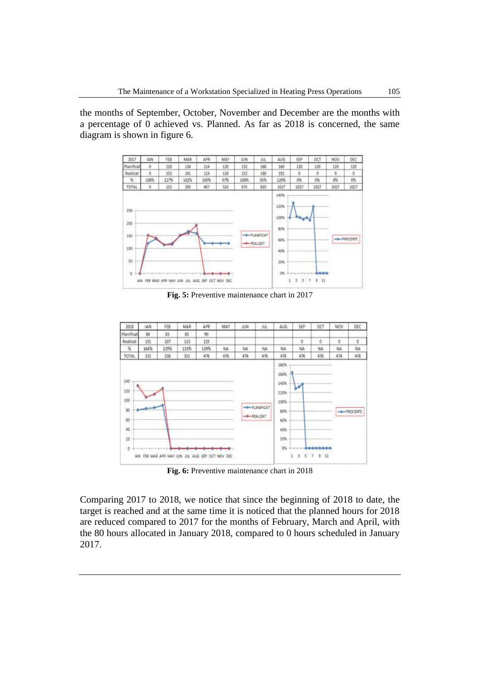the months of September, October, November and December are the months with a percentage of 0 achieved vs. Planned. As far as 2018 is concerned, the same diagram is shown in figure 6.



**Fig. 5:** Preventive maintenance chart in 2017



**Fig. 6:** Preventive maintenance chart in 2018

Comparing 2017 to 2018, we notice that since the beginning of 2018 to date, the target is reached and at the same time it is noticed that the planned hours for 2018 are reduced compared to 2017 for the months of February, March and April, with the 80 hours allocated in January 2018, compared to 0 hours scheduled in January 2017.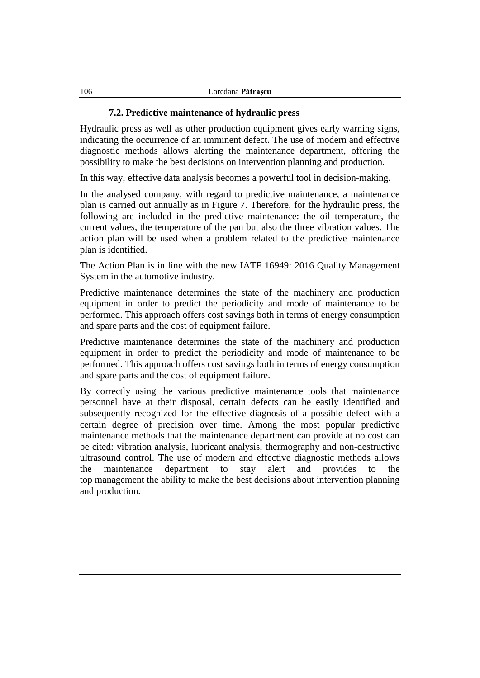#### **7.2. Predictive maintenance of hydraulic press**

Hydraulic press as well as other production equipment gives early warning signs, indicating the occurrence of an imminent defect. The use of modern and effective diagnostic methods allows alerting the maintenance department, offering the possibility to make the best decisions on intervention planning and production.

In this way, effective data analysis becomes a powerful tool in decision-making.

In the analysed company, with regard to predictive maintenance, a maintenance plan is carried out annually as in Figure 7. Therefore, for the hydraulic press, the following are included in the predictive maintenance: the oil temperature, the current values, the temperature of the pan but also the three vibration values. The action plan will be used when a problem related to the predictive maintenance plan is identified.

The Action Plan is in line with the new IATF 16949: 2016 Quality Management System in the automotive industry.

Predictive maintenance determines the state of the machinery and production equipment in order to predict the periodicity and mode of maintenance to be performed. This approach offers cost savings both in terms of energy consumption and spare parts and the cost of equipment failure.

Predictive maintenance determines the state of the machinery and production equipment in order to predict the periodicity and mode of maintenance to be performed. This approach offers cost savings both in terms of energy consumption and spare parts and the cost of equipment failure.

By correctly using the various predictive maintenance tools that maintenance personnel have at their disposal, certain defects can be easily identified and subsequently recognized for the effective diagnosis of a possible defect with a certain degree of precision over time. Among the most popular predictive maintenance methods that the maintenance department can provide at no cost can be cited: vibration analysis, lubricant analysis, thermography and non-destructive ultrasound control. The use of modern and effective diagnostic methods allows the maintenance department to stay alert and provides to the top management the ability to make the best decisions about intervention planning and production.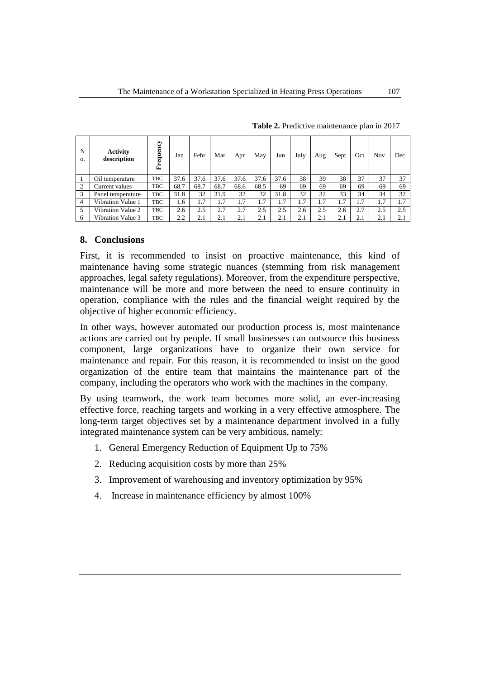| N<br>$\Omega$ . | <b>Activity</b><br>description | Frequency  | Jan  | Febr | Mar  | Apr  | May  | Jun  | July | Aug | Sept | Oct | Nov | Dec |
|-----------------|--------------------------------|------------|------|------|------|------|------|------|------|-----|------|-----|-----|-----|
|                 | Oil temperature                | <b>TBC</b> | 37.6 | 37.6 | 37.6 | 37.6 | 37.6 | 37.6 | 38   | 39  | 38   | 37  | 37  | 37  |
| 2               | Current values                 | <b>TBC</b> | 68.7 | 68.7 | 68.7 | 68.6 | 68.5 | 69   | 69   | 69  | 69   | 69  | 69  | 69  |
| 3               | Panel temperature              | <b>TBC</b> | 31.8 | 32   | 31.9 | 32   | 32   | 31.8 | 32   | 32  | 33   | 34  | 34  | 32  |
| $\overline{4}$  | Vibration Value 1              | <b>TBC</b> | 1.6  | 1.7  | 1.7  | 1.7  | 1.7  | 1.7  | 1.7  | 1.7 | 1.7  | 1.7 | 1.7 | 1.7 |
| 5               | Vibration Value 2              | <b>TBC</b> | 2.6  | 2.5  | 2.7  | 2.7  | 2.5  | 2.5  | 2.6  | 2.5 | 2.6  | 2.7 | 2.5 | 2.5 |
| 6               | Vibration Value 3              | <b>TBC</b> | 2.2  | 2.1  | 2.1  | 2.1  | 2.1  | 2.1  | 2.1  | 2.1 | 2.1  | 2.1 | 2.1 | 2.1 |

**Table 2.** Predictive maintenance plan in 2017

## **8. Conclusions**

First, it is recommended to insist on proactive maintenance, this kind of maintenance having some strategic nuances (stemming from risk management approaches, legal safety regulations). Moreover, from the expenditure perspective, maintenance will be more and more between the need to ensure continuity in operation, compliance with the rules and the financial weight required by the objective of higher economic efficiency.

In other ways, however automated our production process is, most maintenance actions are carried out by people. If small businesses can outsource this business component, large organizations have to organize their own service for maintenance and repair. For this reason, it is recommended to insist on the good organization of the entire team that maintains the maintenance part of the company, including the operators who work with the machines in the company.

By using teamwork, the work team becomes more solid, an ever-increasing effective force, reaching targets and working in a very effective atmosphere. The long-term target objectives set by a maintenance department involved in a fully integrated maintenance system can be very ambitious, namely:

- 1. General Emergency Reduction of Equipment Up to 75%
- 2. Reducing acquisition costs by more than 25%
- 3. Improvement of warehousing and inventory optimization by 95%
- 4. Increase in maintenance efficiency by almost 100%